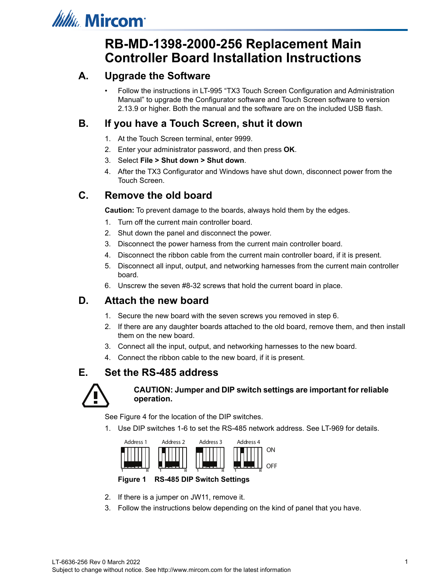

# **RB-MD-1398-2000-256 Replacement Main Controller Board Installation Instructions**

## **A. Upgrade the Software**

• Follow the instructions in LT-995 "TX3 Touch Screen Configuration and Administration Manual" to upgrade the Configurator software and Touch Screen software to version 2.13.9 or higher. Both the manual and the software are on the included USB flash.

## **B. If you have a Touch Screen, shut it down**

- 1. At the Touch Screen terminal, enter 9999.
- 2. Enter your administrator password, and then press **OK**.
- 3. Select **File > Shut down > Shut down**.
- 4. After the TX3 Configurator and Windows have shut down, disconnect power from the Touch Screen.

### **C. Remove the old board**

**Caution:** To prevent damage to the boards, always hold them by the edges.

- 1. Turn off the current main controller board.
- 2. Shut down the panel and disconnect the power.
- 3. Disconnect the power harness from the current main controller board.
- 4. Disconnect the ribbon cable from the current main controller board, if it is present.
- 5. Disconnect all input, output, and networking harnesses from the current main controller board.
- 6. Unscrew the seven #8-32 screws that hold the current board in place.

## **D. Attach the new board**

- 1. Secure the new board with the seven screws you removed in step 6.
- 2. If there are any daughter boards attached to the old board, remove them, and then install them on the new board.
- 3. Connect all the input, output, and networking harnesses to the new board.
- 4. Connect the ribbon cable to the new board, if it is present.

### **E. Set the RS-485 address**



#### **CAUTION: Jumper and DIP switch settings are important for reliable operation.**

See Figure 4 for the location of the DIP switches.

1. Use DIP switches 1-6 to set the RS-485 network address. See LT-969 for details.



#### **Figure 1 RS-485 DIP Switch Settings**

- 2. If there is a jumper on JW11, remove it.
- 3. Follow the instructions below depending on the kind of panel that you have.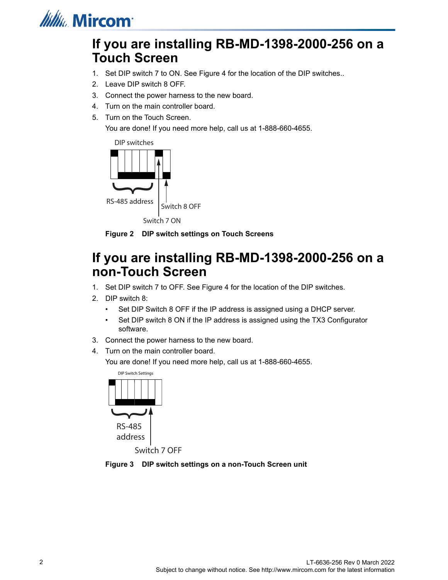

# **If you are installing RB-MD-1398-2000-256 on a Touch Screen**

- 1. Set DIP switch 7 to ON. See Figure 4 for the location of the DIP switches..
- 2. Leave DIP switch 8 OFF.
- 3. Connect the power harness to the new board.
- 4. Turn on the main controller board.
- 5. Turn on the Touch Screen.

You are done! If you need more help, call us at 1-888-660-4655.



**Figure 2 DIP switch settings on Touch Screens**

# **If you are installing RB-MD-1398-2000-256 on a non-Touch Screen**

- 1. Set DIP switch 7 to OFF. See Figure 4 for the location of the DIP switches.
- 2. DIP switch 8:
	- Set DIP Switch 8 OFF if the IP address is assigned using a DHCP server.
	- Set DIP switch 8 ON if the IP address is assigned using the TX3 Configurator software.
- 3. Connect the power harness to the new board.
- 4. Turn on the main controller board.

You are done! If you need more help, call us at 1-888-660-4655.



**Figure 3 DIP switch settings on a non-Touch Screen unit**